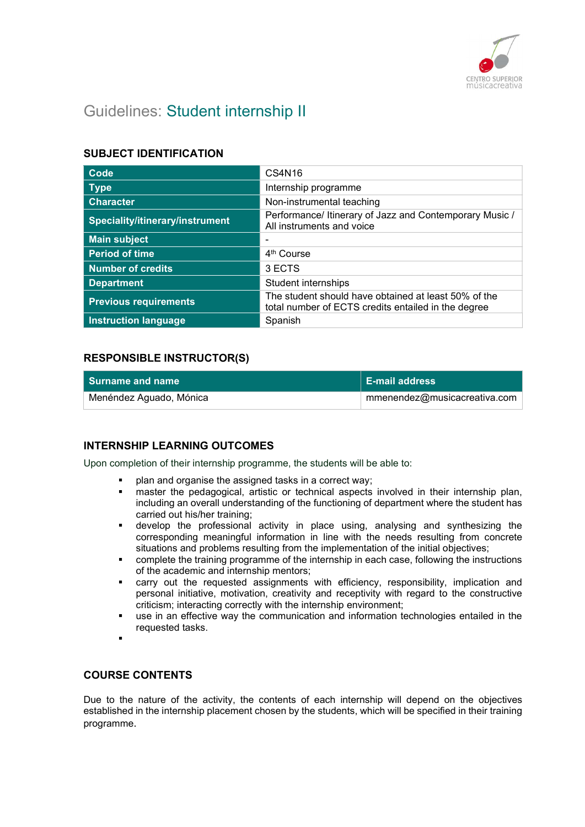

# Guidelines: Student internship II

# SUBJECT IDENTIFICATION

| Code                            | CS4N16                                                                                                      |
|---------------------------------|-------------------------------------------------------------------------------------------------------------|
| <b>Type</b>                     | Internship programme                                                                                        |
| <b>Character</b>                | Non-instrumental teaching                                                                                   |
| Speciality/itinerary/instrument | Performance/ Itinerary of Jazz and Contemporary Music /<br>All instruments and voice                        |
| <b>Main subject</b>             |                                                                                                             |
| <b>Period of time</b>           | 4 <sup>th</sup> Course                                                                                      |
| <b>Number of credits</b>        | 3 ECTS                                                                                                      |
| <b>Department</b>               | Student internships                                                                                         |
| <b>Previous requirements</b>    | The student should have obtained at least 50% of the<br>total number of ECTS credits entailed in the degree |
| <b>Instruction language</b>     | Spanish                                                                                                     |

# RESPONSIBLE INSTRUCTOR(S)

| l Surname and name      | <b>E-mail address</b>        |
|-------------------------|------------------------------|
| Menéndez Aguado, Mónica | mmenendez@musicacreativa.com |

# INTERNSHIP LEARNING OUTCOMES

Upon completion of their internship programme, the students will be able to:

- plan and organise the assigned tasks in a correct way;
- master the pedagogical, artistic or technical aspects involved in their internship plan, including an overall understanding of the functioning of department where the student has carried out his/her training;
- develop the professional activity in place using, analysing and synthesizing the corresponding meaningful information in line with the needs resulting from concrete situations and problems resulting from the implementation of the initial objectives;
- complete the training programme of the internship in each case, following the instructions of the academic and internship mentors;
- carry out the requested assignments with efficiency, responsibility, implication and personal initiative, motivation, creativity and receptivity with regard to the constructive criticism; interacting correctly with the internship environment;
- use in an effective way the communication and information technologies entailed in the requested tasks.
- ٠

## COURSE CONTENTS

Due to the nature of the activity, the contents of each internship will depend on the objectives established in the internship placement chosen by the students, which will be specified in their training programme.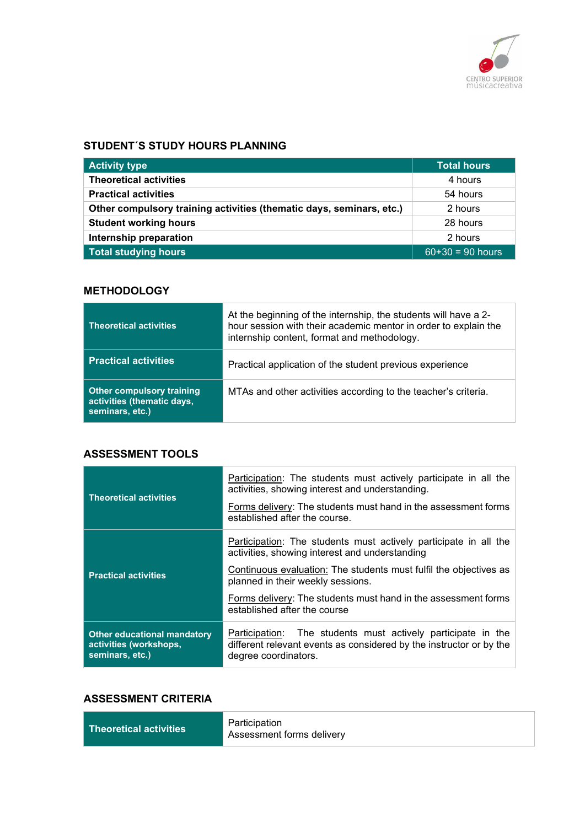

## STUDENT´S STUDY HOURS PLANNING

| <b>Activity type</b>                                                 | <b>Total hours</b> |
|----------------------------------------------------------------------|--------------------|
| <b>Theoretical activities</b>                                        | 4 hours            |
| <b>Practical activities</b>                                          | 54 hours           |
| Other compulsory training activities (thematic days, seminars, etc.) | 2 hours            |
| <b>Student working hours</b>                                         | 28 hours           |
| Internship preparation                                               | 2 hours            |
| <b>Total studying hours</b>                                          | $60+30 = 90$ hours |

## **METHODOLOGY**

| <b>Theoretical activities</b>                                                     | At the beginning of the internship, the students will have a 2-<br>hour session with their academic mentor in order to explain the<br>internship content, format and methodology. |
|-----------------------------------------------------------------------------------|-----------------------------------------------------------------------------------------------------------------------------------------------------------------------------------|
| <b>Practical activities</b>                                                       | Practical application of the student previous experience                                                                                                                          |
| <b>Other compulsory training</b><br>activities (thematic days,<br>seminars, etc.) | MTAs and other activities according to the teacher's criteria.                                                                                                                    |

## ASSESSMENT TOOLS

| <b>Theoretical activities</b>                                                   | Participation: The students must actively participate in all the<br>activities, showing interest and understanding.                                            |
|---------------------------------------------------------------------------------|----------------------------------------------------------------------------------------------------------------------------------------------------------------|
|                                                                                 | Forms delivery: The students must hand in the assessment forms<br>established after the course.                                                                |
|                                                                                 | Participation: The students must actively participate in all the<br>activities, showing interest and understanding                                             |
| <b>Practical activities</b>                                                     | Continuous evaluation: The students must fulfil the objectives as<br>planned in their weekly sessions.                                                         |
|                                                                                 | Forms delivery: The students must hand in the assessment forms<br>established after the course                                                                 |
| <b>Other educational mandatory</b><br>activities (workshops,<br>seminars, etc.) | The students must actively participate in the<br>Participation:<br>different relevant events as considered by the instructor or by the<br>degree coordinators. |

## ASSESSMENT CRITERIA

| Theoretical activities | Participation<br>Assessment forms delivery |
|------------------------|--------------------------------------------|
|------------------------|--------------------------------------------|